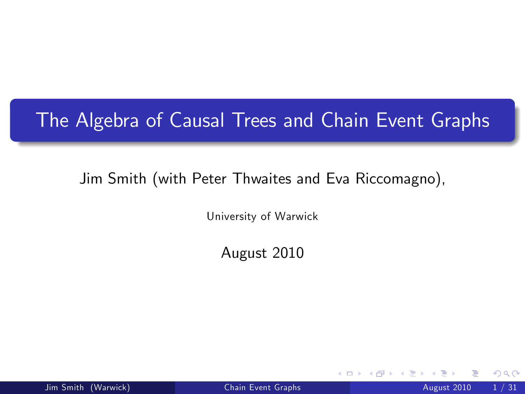### The Algebra of Causal Trees and Chain Event Graphs

#### Jim Smith (with Peter Thwaites and Eva Riccomagno),

University of Warwick

August 2010

4 0 8

<span id="page-0-0"></span> $299$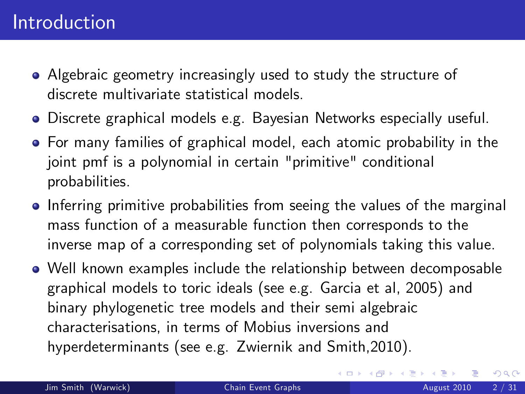- Algebraic geometry increasingly used to study the structure of discrete multivariate statistical models.
- Discrete graphical models e.g. Bayesian Networks especially useful.
- For many families of graphical model, each atomic probability in the joint pmf is a polynomial in certain "primitive" conditional probabilities.
- Inferring primitive probabilities from seeing the values of the marginal mass function of a measurable function then corresponds to the inverse map of a corresponding set of polynomials taking this value.
- Well known examples include the relationship between decomposable graphical models to toric ideals (see e.g. Garcia et al, 2005) and binary phylogenetic tree models and their semi algebraic characterisations, in terms of Mobius inversions and hyperdeterminants (see e.g. Zwiernik and Smith,2010).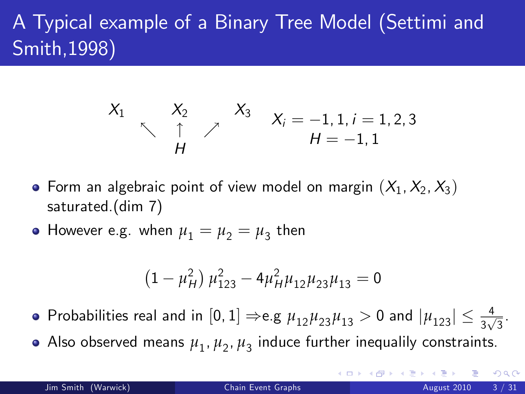# A Typical example of a Binary Tree Model (Settimi and Smith,1998)

$$
\begin{array}{cccc}\nX_1 & X_2 & X_3 & X_i = -1, 1, i = 1, 2, 3 \\
\uparrow & \uparrow & \nearrow & H = -1, 1\n\end{array}
$$

- Form an algebraic point of view model on margin  $(X_1, X_2, X_3)$ saturated.(dim 7)
- However e.g. when  $\mu_1 = \mu_2 = \mu_3$  then

$$
(1 - \mu_H^2) \mu_{123}^2 - 4\mu_H^2 \mu_{12} \mu_{23} \mu_{13} = 0
$$

- Probabilities real and in  $[0,1] \Rightarrow$ e.g  $\mu_{12}\mu_{23}\mu_{13} > 0$  and  $|\mu_{123}| \leq \frac{4}{3\sqrt{3}}$ .
- Also observed means  $\mu_1, \mu_2, \mu_3$  induce further inequalily constraints.

 $QQ$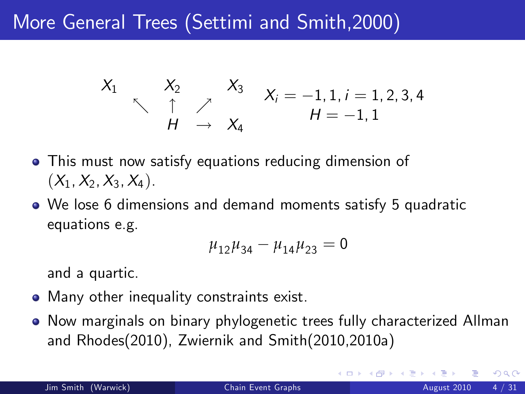## More General Trees (Settimi and Smith,2000)

$$
\begin{array}{cccc}\nX_1 & X_2 & X_3 & X_i = -1, 1, i = 1, 2, 3, 4 \\
\uparrow & \uparrow & \nearrow & \nearrow & H = -1, 1\n\end{array}
$$

- This must now satisfy equations reducing dimension of  $(X_1, X_2, X_3, X_4)$ .
- We lose 6 dimensions and demand moments satisfy 5 quadratic equations e.g.

$$
\mu_{12}\mu_{34}-\mu_{14}\mu_{23}=0
$$

and a quartic.

- Many other inequality constraints exist.
- Now marginals on binary phylogenetic trees fully characterized Allman and Rhodes(2010), Zwiernik and Smith(2010,2010a)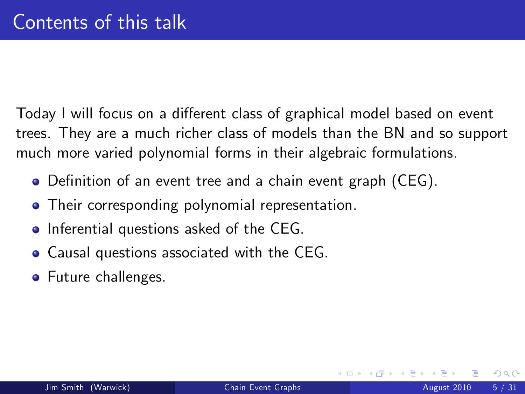Today I will focus on a different class of graphical model based on event trees. They are a much richer class of models than the BN and so support much more varied polynomial forms in their algebraic formulations.

- Definition of an event tree and a chain event graph (CEG).
- **•** Their corresponding polynomial representation.
- Inferential questions asked of the CEG.
- Causal questions associated with the CEG.
- **•** Future challenges.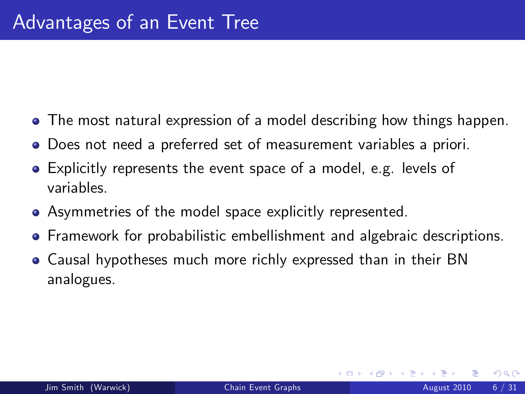- The most natural expression of a model describing how things happen.
- Does not need a preferred set of measurement variables a priori.
- Explicitly represents the event space of a model, e.g. levels of variables.
- Asymmetries of the model space explicitly represented.
- **•** Framework for probabilistic embellishment and algebraic descriptions.
- Causal hypotheses much more richly expressed than in their BN analogues.

4 0 8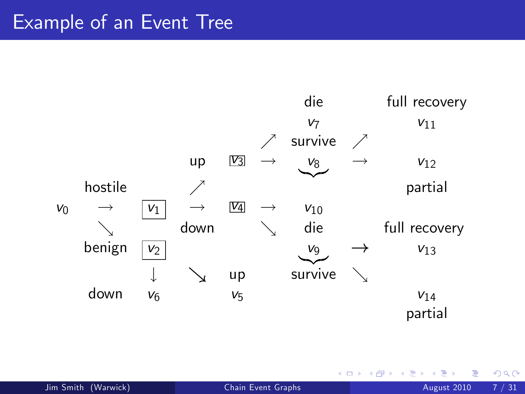#### Example of an Event Tree



4 0 8

 $299$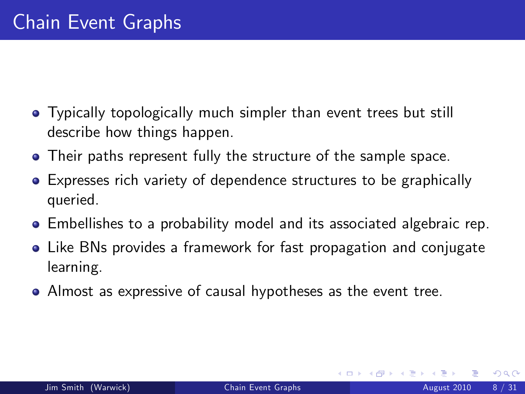- **•** Typically topologically much simpler than event trees but still describe how things happen.
- Their paths represent fully the structure of the sample space.
- Expresses rich variety of dependence structures to be graphically queried.
- Embellishes to a probability model and its associated algebraic rep.
- Like BNs provides a framework for fast propagation and conjugate learning.
- Almost as expressive of causal hypotheses as the event tree.

4 0 8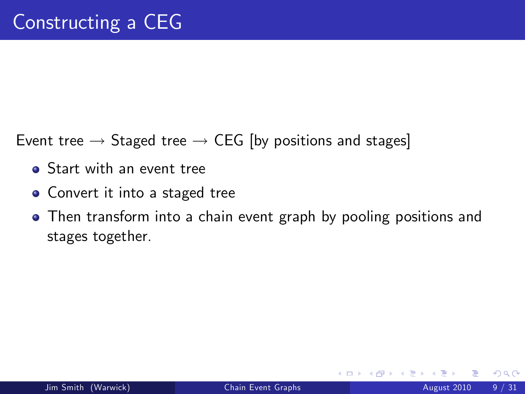Event tree  $\rightarrow$  Staged tree  $\rightarrow$  CEG [by positions and stages]

- **•** Start with an event tree
- Convert it into a staged tree
- Then transform into a chain event graph by pooling positions and stages together.

4 0 8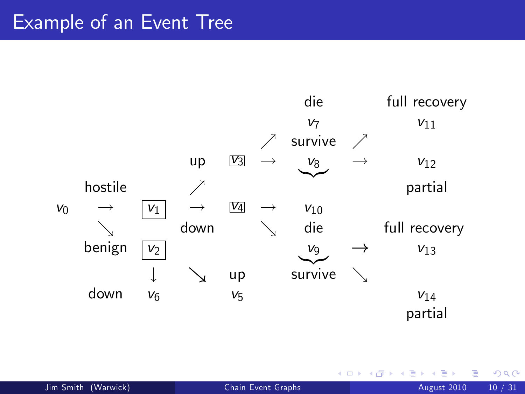#### Example of an Event Tree



4 0 8

Þ

 $299$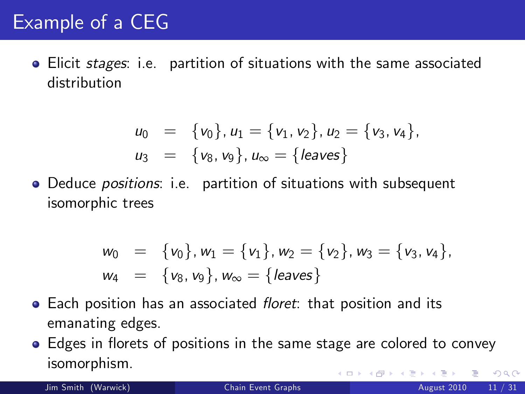## Example of a CEG

**•** Elicit *stages*: i.e. partition of situations with the same associated distribution

$$
u_0 = \{v_0\}, u_1 = \{v_1, v_2\}, u_2 = \{v_3, v_4\},
$$
  

$$
u_3 = \{v_8, v_9\}, u_\infty = \{\text{leaves}\}
$$

• Deduce *positions*: i.e. partition of situations with subsequent isomorphic trees

$$
w_0 = \{v_0\}, w_1 = \{v_1\}, w_2 = \{v_2\}, w_3 = \{v_3, v_4\},
$$
  

$$
w_4 = \{v_8, v_9\}, w_\infty = \{leaves\}
$$

- Each position has an associated *floret*: that position and its emanating edges.
- Edges in florets of positions in the same stage are colored to convey isomorphism. 4 0 8  $\Omega$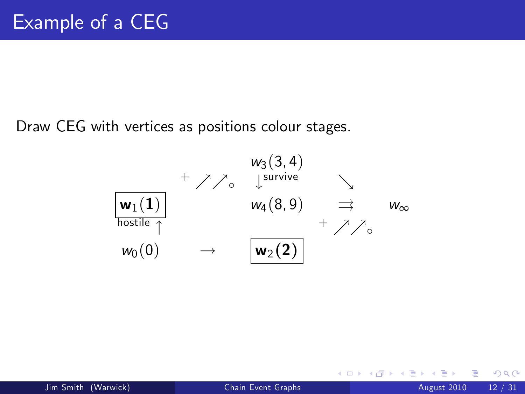Draw CEG with vertices as positions colour stages.



4 0 8

<span id="page-11-0"></span> $QQ$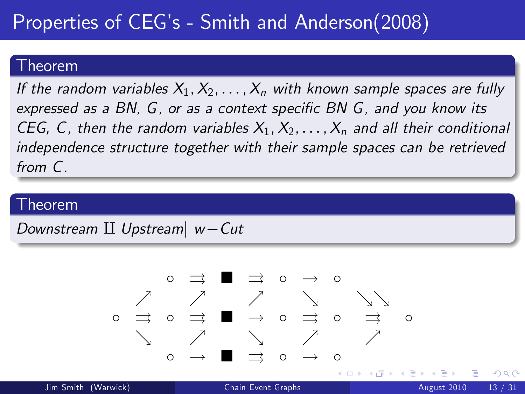# Properties of CEG's - Smith and Anderson(2008)

#### Theorem

If the random variables  $X_1, X_2, \ldots, X_n$  with known sample spaces are fully expressed as a BN,  $G$ , or as a context specific BN  $G$ , and you know its CEG, C, then the random variables  $X_1, X_2, \ldots, X_n$  and all their conditional independence structure together with their sample spaces can be retrieved from C.

#### Theorem

Downstream  $II$  Upstream $|w-Cut$ 

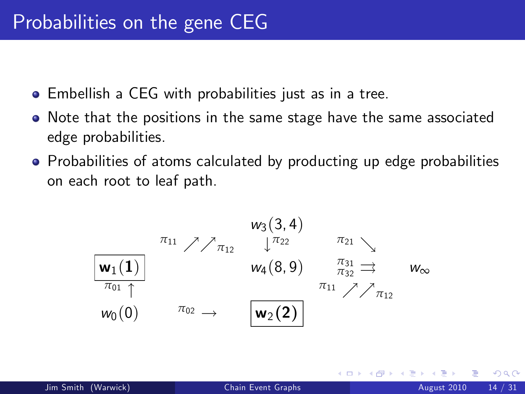- Embellish a CEG with probabilities just as in a tree.
- Note that the positions in the same stage have the same associated edge probabilities.
- Probabilities of atoms calculated by producting up edge probabilities on each root to leaf path.

$$
\begin{array}{ccc}\n & \begin{array}{ccc}\n & \mathbf{w}_3(3,4) \\
 & \sqrt[3]{\pi_{12}} & \sqrt[3]{\pi_{22}} & \pi_{21} \\
 & \mathbf{w}_4(8,9) & \pi_{32} \implies & \mathbf{w}_\infty \\
\hline\n\pi_{01} & & \mathbf{w}_0(0)\n\end{array} \\
 & & \begin{array}{ccc}\n & \mathbf{w}_3(3,4) & \pi_{21} \\
 & \sqrt[3]{\pi_{22}} & \pi_{21} \\
 & \mathbf{w}_4(8,9) & \pi_{32} \implies & \mathbf{w}_\infty\n\end{array}\n\end{array}
$$

4 0 8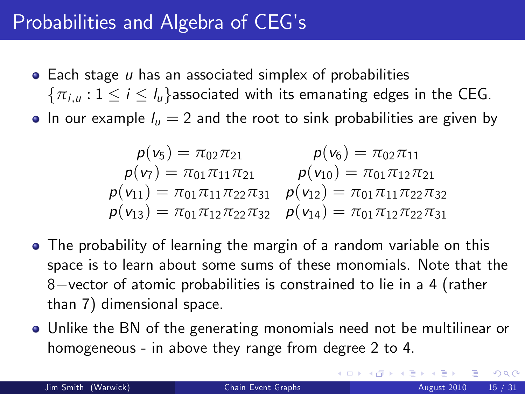### Probabilities and Algebra of CEG's

- $\bullet$  Each stage  $\mu$  has an associated simplex of probabilities  $\{\pi_{i,u}: 1 \leq i \leq l_u\}$  associated with its emanating edges in the CEG.
- In our example  $I_u = 2$  and the root to sink probabilities are given by

$$
\begin{matrix}\np(v_5) = \pi_{02}\pi_{21} & p(v_6) = \pi_{02}\pi_{11} \\
p(v_7) = \pi_{01}\pi_{11}\pi_{21} & p(v_{10}) = \pi_{01}\pi_{12}\pi_{21} \\
p(v_{11}) = \pi_{01}\pi_{11}\pi_{22}\pi_{31} & p(v_{12}) = \pi_{01}\pi_{11}\pi_{22}\pi_{32} \\
p(v_{13}) = \pi_{01}\pi_{12}\pi_{22}\pi_{32} & p(v_{14}) = \pi_{01}\pi_{12}\pi_{22}\pi_{31}\n\end{matrix}
$$

- The probability of learning the margin of a random variable on this space is to learn about some sums of these monomials. Note that the  $8$ -vector of atomic probabilities is constrained to lie in a 4 (rather than 7) dimensional space.
- Unlike the BN of the generating monomials need not be multilinear or homogeneous - in above they range from degree 2 to 4.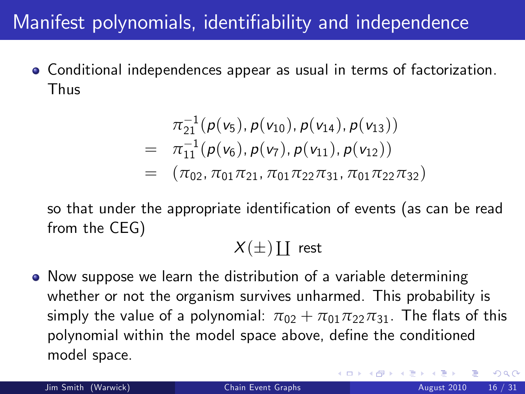## Manifest polynomials, identifiability and independence

Conditional independences appear as usual in terms of factorization. Thus

$$
\pi_{21}^{-1}(p(v_5), p(v_{10}), p(v_{14}), p(v_{13}))
$$
\n
$$
= \pi_{11}^{-1}(p(v_6), p(v_7), p(v_{11}), p(v_{12}))
$$
\n
$$
= (\pi_{02}, \pi_{01}\pi_{21}, \pi_{01}\pi_{22}\pi_{31}, \pi_{01}\pi_{22}\pi_{32})
$$

so that under the appropriate identification of events (as can be read from the CEG)

 $X(\pm)$  [ rest

• Now suppose we learn the distribution of a variable determining whether or not the organism survives unharmed. This probability is simply the value of a polynomial:  $\pi_{02} + \pi_{01}\pi_{22}\pi_{31}$ . The flats of this polynomial within the model space above, define the conditioned model space.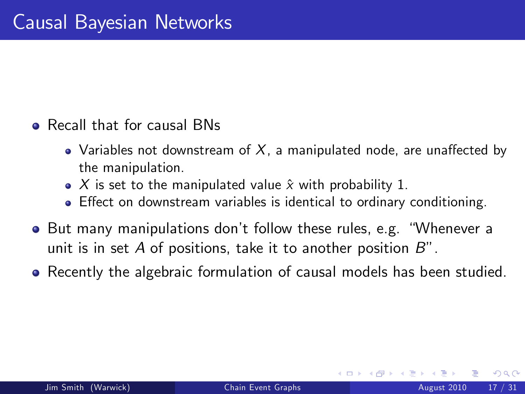- **•** Recall that for causal BNs
	- Variables not downstream of  $X$ , a manipulated node, are unaffected by the manipulation.
	- $\bullet$  X is set to the manipulated value  $\hat{x}$  with probability 1.
	- Effect on downstream variables is identical to ordinary conditioning.
- But many manipulations don't follow these rules, e.g. "Whenever a unit is in set A of positions, take it to another position  $B$ ".
- Recently the algebraic formulation of causal models has been studied.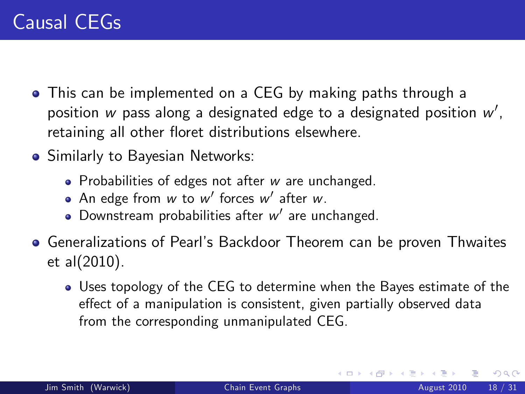- This can be implemented on a CEG by making paths through a position  $w$  pass along a designated edge to a designated position  $w^\prime,$ retaining all other floret distributions elsewhere.
- **•** Similarly to Bayesian Networks:
	- Probabilities of edges not after w are unchanged.
	- An edge from  $w$  to  $w'$  forces  $w'$  after  $w$ .
	- Downstream probabilities after  $w'$  are unchanged.
- Generalizations of Pearlís Backdoor Theorem can be proven Thwaites et al(2010).
	- Uses topology of the CEG to determine when the Bayes estimate of the effect of a manipulation is consistent, given partially observed data from the corresponding unmanipulated CEG.

4 D F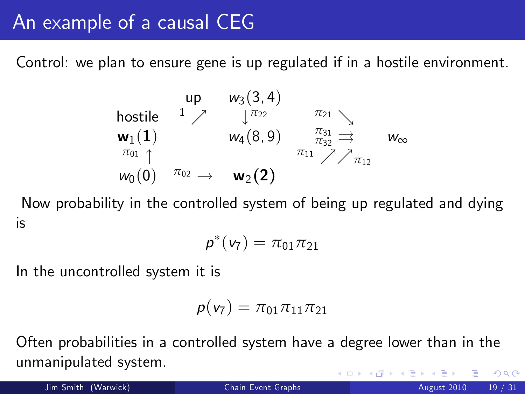## An example of a causal CEG

Control: we plan to ensure gene is up regulated if in a hostile environment.

$$
\begin{array}{ccccc}\n & \text{up} & w_3(3,4) & & \\
 & \text{hostile} & 1 & \nearrow & \downarrow \pi_{22} & \pi_{21} & \\
 & w_1(1) & & w_4(8,9) & \pi_{32} \implies & w_{\infty} \\
\pi_{01} & & & & \pi_{11} & \nearrow \nearrow \pi_{12} & \\
w_0(0) & \pi_{02} & \rightarrow & w_2(2)\n\end{array}
$$

Now probability in the controlled system of being up regulated and dying is

$$
\pmb{p}^*(\pmb{v}_7) = \pi_{01}\pi_{21}
$$

In the uncontrolled system it is

$$
\pmb{p(\textbf{v}_7)} = \pi_{01} \pi_{11} \pi_{21}
$$

Often probabilities in a controlled system have a degree lower than in the unmanipulated system.  $\Omega$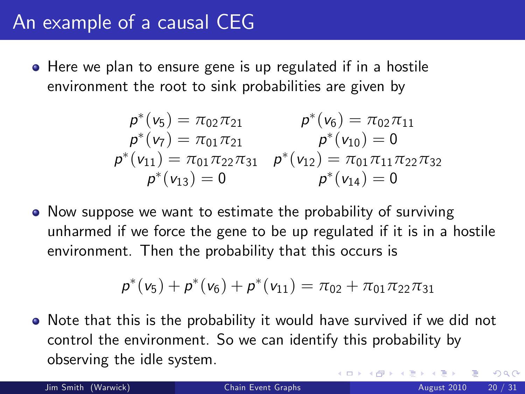### An example of a causal CEG

Here we plan to ensure gene is up regulated if in a hostile environment the root to sink probabilities are given by

$$
p^*(v_5) = \pi_{02}\pi_{21} \qquad p^*(v_6) = \pi_{02}\pi_{11} p^*(v_7) = \pi_{01}\pi_{21} \qquad p^*(v_{10}) = 0 p^*(v_{11}) = \pi_{01}\pi_{22}\pi_{31} \qquad p^*(v_{12}) = \pi_{01}\pi_{11}\pi_{22}\pi_{32} p^*(v_{13}) = 0 \qquad p^*(v_{14}) = 0
$$

• Now suppose we want to estimate the probability of surviving unharmed if we force the gene to be up regulated if it is in a hostile environment. Then the probability that this occurs is

<span id="page-19-0"></span>
$$
p^*(v_5) + p^*(v_6) + p^*(v_{11}) = \pi_{02} + \pi_{01}\pi_{22}\pi_{31}
$$

• Note that this is the probability it would have survived if we did not control the environment. So we can identify this probability by observing the idle system.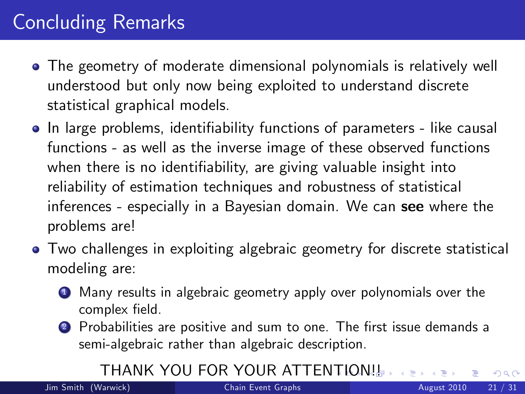## Concluding Remarks

- The geometry of moderate dimensional polynomials is relatively well understood but only now being exploited to understand discrete statistical graphical models.
- In large problems, identifiability functions of parameters like causal functions - as well as the inverse image of these observed functions when there is no identifiability, are giving valuable insight into reliability of estimation techniques and robustness of statistical inferences - especially in a Bayesian domain. We can see where the problems are!
- Two challenges in exploiting algebraic geometry for discrete statistical modeling are:
	- **1** Many results in algebraic geometry apply over polynomials over the complex field.
	- 2 Probabilities are positive and sum to one. The first issue demands a semi-algebraic rather than algebraic description.

#### THANK YOU FOR YOUR ATTEN[TI](#page-19-0)[O](#page-21-0)[N](#page-19-0)[!!](#page-20-0)

<span id="page-20-0"></span> $QQ$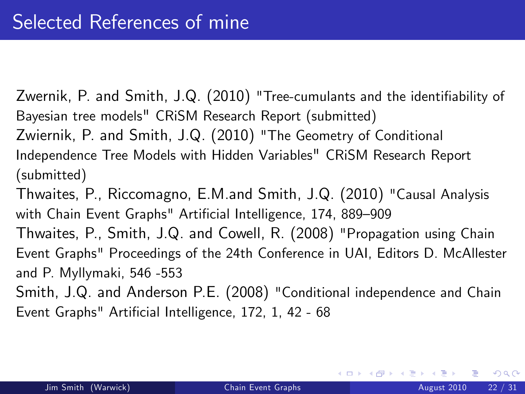Zwernik, P. and Smith, J.Q. (2010) "Tree-cumulants and the identifiability of Bayesian tree models" CRiSM Research Report (submitted) Zwiernik, P. and Smith, J.Q. (2010) "The Geometry of Conditional Independence Tree Models with Hidden Variables" CRiSM Research Report (submitted)

Thwaites, P., Riccomagno, E.M.and Smith, J.Q. (2010) "Causal Analysis with Chain Event Graphs" Artificial Intelligence, 174, 889-909

Thwaites, P., Smith, J.Q. and Cowell, R. (2008) "Propagation using Chain Event Graphs" Proceedings of the 24th Conference in UAI, Editors D. McAllester and P. Myllymaki, 546 -553

Smith, J.Q. and Anderson P.E. (2008) "Conditional independence and Chain Event Graphs" Artificial Intelligence, 172, 1, 42 - 68

K □ ▶ K □ ▶ K □ ▶ K

<span id="page-21-0"></span> $QQQ$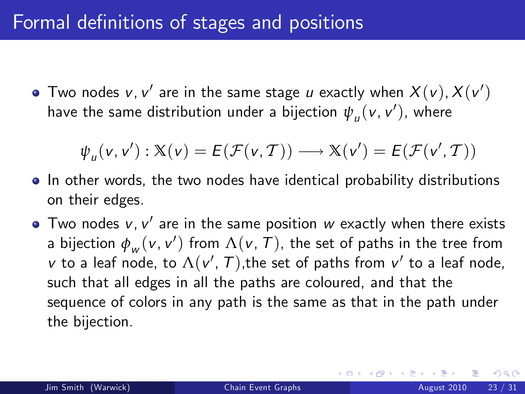Two nodes  $v$ ,  $v'$  are in the same stage  $u$  exactly when  $X(v)$ ,  $X(v')$ have the same distribution under a bijection  $\overline{\psi}_u(\mathsf{v},\mathsf{v}'),$  where

$$
\psi_u(v, v'): \mathbb{X}(v) = E(\mathcal{F}(v, \mathcal{T})) \longrightarrow \mathbb{X}(v') = E(\mathcal{F}(v', \mathcal{T}))
$$

- In other words, the two nodes have identical probability distributions on their edges.
- Two nodes  $v$ ,  $v^{\prime}$  are in the same position  $w$  exactly when there exists a bijection  $\phi_{_W}(\mathsf{v},\mathsf{v}')$  from  $\Lambda(\mathsf{v},\mathcal{T})$ , the set of paths in the tree from  $v$  to a leaf node, to  $\Lambda(v',\mathcal{T}),$ the set of paths from  $v'$  to a leaf node, such that all edges in all the paths are coloured, and that the sequence of colors in any path is the same as that in the path under the bijection.

 $200$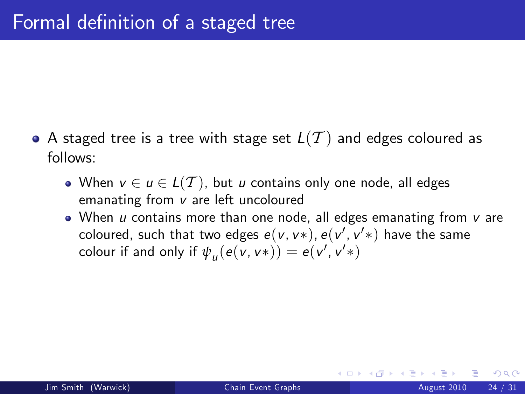- $\bullet$  A staged tree is a tree with stage set  $L(T)$  and edges coloured as follows:
	- When  $v \in u \in L(T)$ , but u contains only one node, all edges emanating from v are left uncoloured
	- $\bullet$  When u contains more than one node, all edges emanating from v are coloured, such that two edges  $e(\nu, \nu^*), e(\nu', \nu'^*)$  have the same colour if and only if  $\psi_u(e(v, v*)) = e(v', v'*)$

つひひ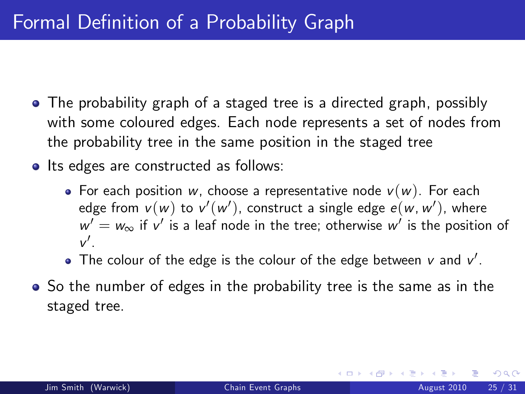## Formal Definition of a Probability Graph

- The probability graph of a staged tree is a directed graph, possibly with some coloured edges. Each node represents a set of nodes from the probability tree in the same position in the staged tree
- Its edges are constructed as follows:
	- For each position w, choose a representative node  $v(w)$ . For each edge from  $\mathsf{v}(\mathsf{w})$  to  $\mathsf{v}'(\mathsf{w}')$ , construct a single edge  $\mathsf{e}(\mathsf{w},\mathsf{w}')$ , where  $w' = w_{\infty}$  if  $v'$  is a leaf node in the tree; otherwise  $w'$  is the position of  $v'$ .
	- The colour of the edge is the colour of the edge between  $v$  and  $v^{\prime}.$
- So the number of edges in the probability tree is the same as in the staged tree.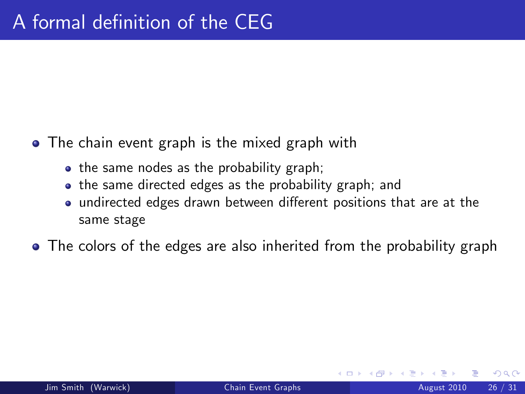- The chain event graph is the mixed graph with
	- the same nodes as the probability graph;
	- the same directed edges as the probability graph; and
	- undirected edges drawn between different positions that are at the same stage
- The colors of the edges are also inherited from the probability graph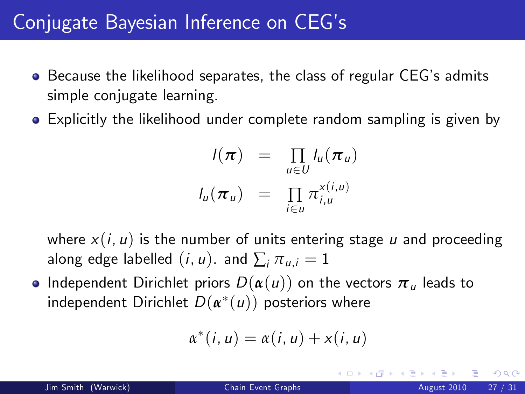#### Conjugate Bayesian Inference on CEGís

- **•** Because the likelihood separates, the class of regular CEG's admits simple conjugate learning.
- Explicitly the likelihood under complete random sampling is given by

$$
I(\pi) = \prod_{u \in U} I_u(\pi_u)
$$
  

$$
I_u(\pi_u) = \prod_{i \in u} \pi_{i,u}^{x(i,u)}
$$

where  $x(i, u)$  is the number of units entering stage u and proceeding along edge labelled  $(i, u)$ . and  $\sum_i \pi_{u,i} = 1$ 

**•** Independent Dirichlet priors  $D(\alpha(u))$  on the vectors  $\pi_u$  leads to  $\mathsf{independent}\ \mathsf{Dirichlet}\ D(\pmb{\alpha}^*(\pmb{\mu}))$  posteriors where

$$
\alpha^*(i, u) = \alpha(i, u) + x(i, u)
$$

つへへ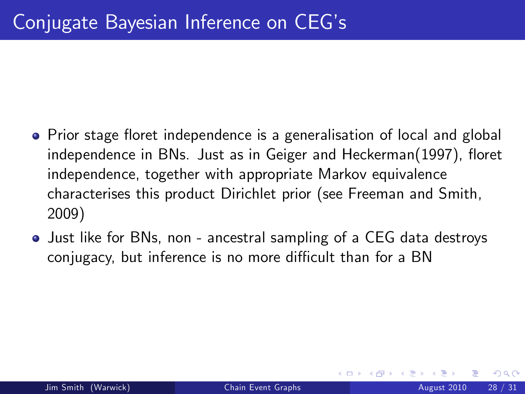- Prior stage floret independence is a generalisation of local and global independence in BNs. Just as in Geiger and Heckerman(1997), floret independence, together with appropriate Markov equivalence characterises this product Dirichlet prior (see Freeman and Smith, 2009)
- Just like for BNs, non ancestral sampling of a CEG data destroys conjugacy, but inference is no more difficult than for a BN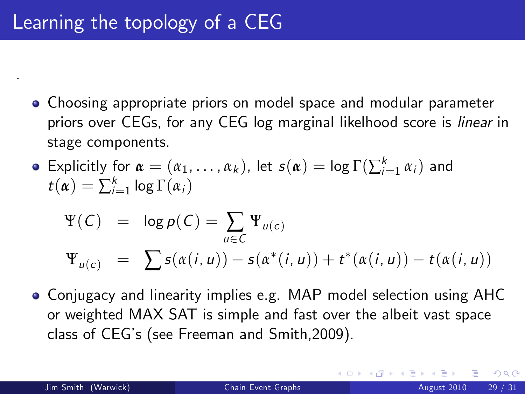- Choosing appropriate priors on model space and modular parameter priors over CEGs, for any CEG log marginal likelhood score is linear in stage components.
- Explicitly for  $\alpha = (\alpha_1, \ldots, \alpha_k)$ , let  $s(\alpha) = \log \Gamma(\sum_{i=1}^k \alpha_i)$  and  $t(\boldsymbol{\alpha}) = \sum_{i=1}^k \log \Gamma(\alpha_i)$

$$
\Psi(C) = \log p(C) = \sum_{u \in C} \Psi_{u(c)}
$$
  

$$
\Psi_{u(c)} = \sum s(\alpha(i, u)) - s(\alpha^*(i, u)) + t^*(\alpha(i, u)) - t(\alpha(i, u))
$$

Conjugacy and linearity implies e.g. MAP model selection using AHC or weighted MAX SAT is simple and fast over the albeit vast space class of CEGís (see Freeman and Smith,2009).

.

<span id="page-28-0"></span> $200$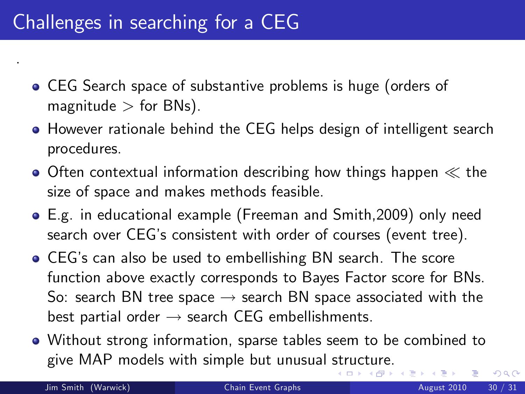### Challenges in searching for a CEG

- CEG Search space of substantive problems is huge (orders of magnitude  $>$  for BNs).
- **However rationale behind the CEG helps design of intelligent search** procedures.
- $\bullet$  Often contextual information describing how things happen  $\ll$  the size of space and makes methods feasible.
- E.g. in educational example (Freeman and Smith,2009) only need search over CEGís consistent with order of courses (event tree).
- CEGís can also be used to embellishing BN search. The score function above exactly corresponds to Bayes Factor score for BNs. So: search BN tree space  $\rightarrow$  search BN space associated with the best partial order  $\rightarrow$  search CEG embellishments.
- <span id="page-29-0"></span>Without strong information, sparse tables seem to be combined to give MAP models with simple but unusual [str](#page-28-0)[uc](#page-30-0)[t](#page-28-0)[ure](#page-29-0)[.](#page-30-0)

.